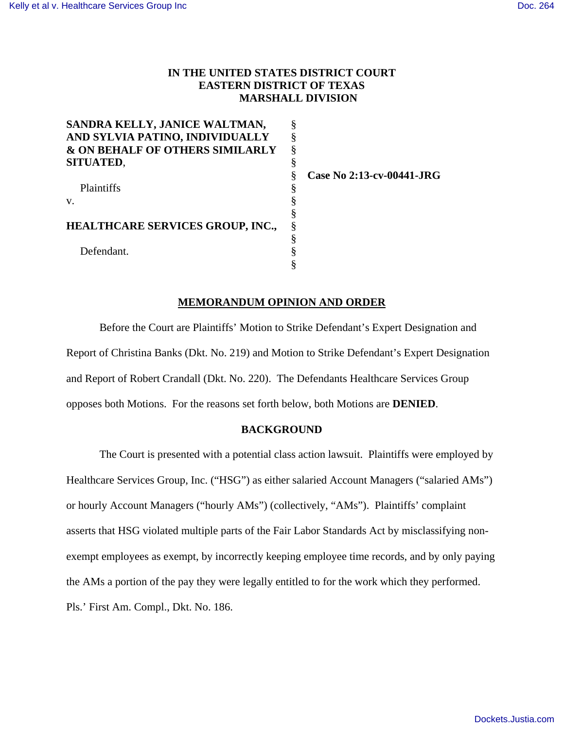# **IN THE UNITED STATES DISTRICT COURT EASTERN DISTRICT OF TEXAS MARSHALL DIVISION**

| SANDRA KELLY, JANICE WALTMAN,              |   |
|--------------------------------------------|---|
| AND SYLVIA PATINO, INDIVIDUALLY            | § |
| <b>&amp; ON BEHALF OF OTHERS SIMILARLY</b> | § |
| <b>SITUATED,</b>                           | § |
|                                            |   |
| Plaintiffs                                 |   |
| v.                                         | § |
|                                            | § |
| <b>HEALTHCARE SERVICES GROUP, INC.,</b>    | § |
|                                            | § |
| Defendant.                                 |   |
|                                            |   |

**Case No 2:13-cv-00441-JRG**

# **MEMORANDUM OPINION AND ORDER**

Before the Court are Plaintiffs' Motion to Strike Defendant's Expert Designation and Report of Christina Banks (Dkt. No. 219) and Motion to Strike Defendant's Expert Designation and Report of Robert Crandall (Dkt. No. 220). The Defendants Healthcare Services Group opposes both Motions. For the reasons set forth below, both Motions are **DENIED**.

## **BACKGROUND**

The Court is presented with a potential class action lawsuit. Plaintiffs were employed by Healthcare Services Group, Inc. ("HSG") as either salaried Account Managers ("salaried AMs") or hourly Account Managers ("hourly AMs") (collectively, "AMs"). Plaintiffs' complaint asserts that HSG violated multiple parts of the Fair Labor Standards Act by misclassifying nonexempt employees as exempt, by incorrectly keeping employee time records, and by only paying the AMs a portion of the pay they were legally entitled to for the work which they performed. Pls.' First Am. Compl., Dkt. No. 186.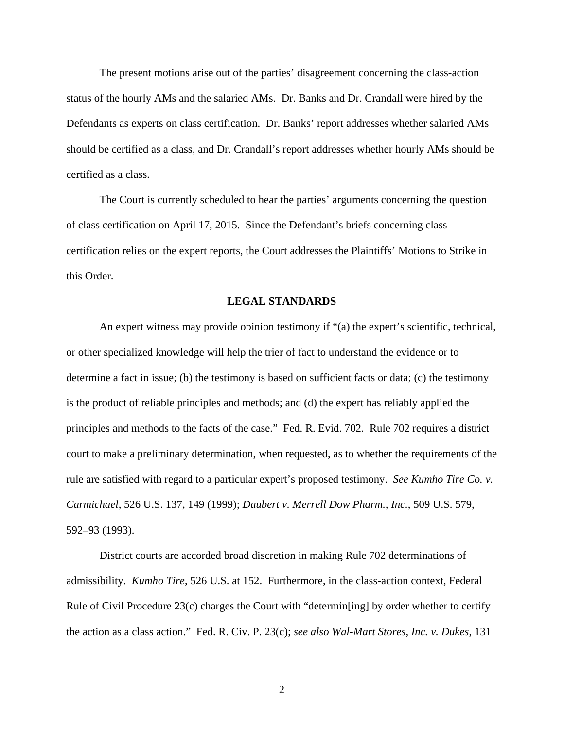The present motions arise out of the parties' disagreement concerning the class-action status of the hourly AMs and the salaried AMs. Dr. Banks and Dr. Crandall were hired by the Defendants as experts on class certification. Dr. Banks' report addresses whether salaried AMs should be certified as a class, and Dr. Crandall's report addresses whether hourly AMs should be certified as a class.

The Court is currently scheduled to hear the parties' arguments concerning the question of class certification on April 17, 2015. Since the Defendant's briefs concerning class certification relies on the expert reports, the Court addresses the Plaintiffs' Motions to Strike in this Order.

#### **LEGAL STANDARDS**

An expert witness may provide opinion testimony if "(a) the expert's scientific, technical, or other specialized knowledge will help the trier of fact to understand the evidence or to determine a fact in issue; (b) the testimony is based on sufficient facts or data; (c) the testimony is the product of reliable principles and methods; and (d) the expert has reliably applied the principles and methods to the facts of the case." Fed. R. Evid. 702. Rule 702 requires a district court to make a preliminary determination, when requested, as to whether the requirements of the rule are satisfied with regard to a particular expert's proposed testimony. *See Kumho Tire Co. v. Carmichael*, 526 U.S. 137, 149 (1999); *Daubert v. Merrell Dow Pharm., Inc.*, 509 U.S. 579, 592–93 (1993).

District courts are accorded broad discretion in making Rule 702 determinations of admissibility. *Kumho Tire*, 526 U.S. at 152. Furthermore, in the class-action context, Federal Rule of Civil Procedure 23(c) charges the Court with "determin[ing] by order whether to certify the action as a class action." Fed. R. Civ. P. 23(c); *see also Wal-Mart Stores, Inc. v. Dukes*, 131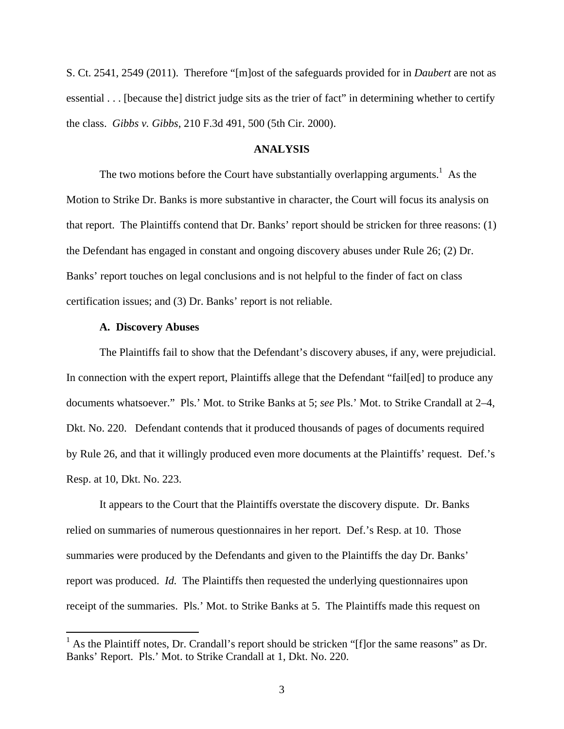S. Ct. 2541, 2549 (2011). Therefore "[m]ost of the safeguards provided for in *Daubert* are not as essential . . . [because the] district judge sits as the trier of fact" in determining whether to certify the class. *Gibbs v. Gibbs*, 210 F.3d 491, 500 (5th Cir. 2000).

#### **ANALYSIS**

The two motions before the Court have substantially overlapping arguments.<sup>1</sup> As the Motion to Strike Dr. Banks is more substantive in character, the Court will focus its analysis on that report. The Plaintiffs contend that Dr. Banks' report should be stricken for three reasons: (1) the Defendant has engaged in constant and ongoing discovery abuses under Rule 26; (2) Dr. Banks' report touches on legal conclusions and is not helpful to the finder of fact on class certification issues; and (3) Dr. Banks' report is not reliable.

## **A. Discovery Abuses**

The Plaintiffs fail to show that the Defendant's discovery abuses, if any, were prejudicial. In connection with the expert report, Plaintiffs allege that the Defendant "fail[ed] to produce any documents whatsoever." Pls.' Mot. to Strike Banks at 5; *see* Pls.' Mot. to Strike Crandall at 2–4, Dkt. No. 220. Defendant contends that it produced thousands of pages of documents required by Rule 26, and that it willingly produced even more documents at the Plaintiffs' request. Def.'s Resp. at 10, Dkt. No. 223.

It appears to the Court that the Plaintiffs overstate the discovery dispute. Dr. Banks relied on summaries of numerous questionnaires in her report. Def.'s Resp. at 10. Those summaries were produced by the Defendants and given to the Plaintiffs the day Dr. Banks' report was produced. *Id.* The Plaintiffs then requested the underlying questionnaires upon receipt of the summaries. Pls.' Mot. to Strike Banks at 5. The Plaintiffs made this request on

 $<sup>1</sup>$  As the Plaintiff notes, Dr. Crandall's report should be stricken "[f]or the same reasons" as Dr.</sup> Banks' Report. Pls.' Mot. to Strike Crandall at 1, Dkt. No. 220.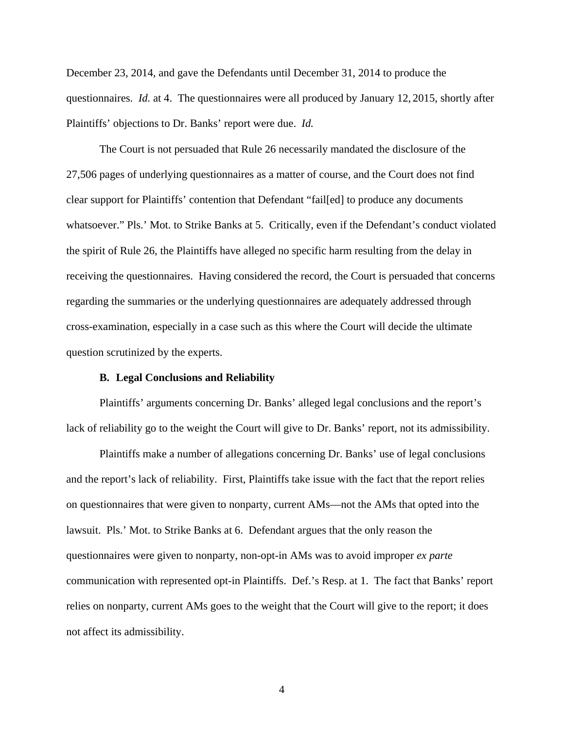December 23, 2014, and gave the Defendants until December 31, 2014 to produce the questionnaires. *Id.* at 4. The questionnaires were all produced by January 12, 2015, shortly after Plaintiffs' objections to Dr. Banks' report were due. *Id.*

The Court is not persuaded that Rule 26 necessarily mandated the disclosure of the 27,506 pages of underlying questionnaires as a matter of course, and the Court does not find clear support for Plaintiffs' contention that Defendant "fail[ed] to produce any documents whatsoever." Pls.' Mot. to Strike Banks at 5. Critically, even if the Defendant's conduct violated the spirit of Rule 26, the Plaintiffs have alleged no specific harm resulting from the delay in receiving the questionnaires. Having considered the record, the Court is persuaded that concerns regarding the summaries or the underlying questionnaires are adequately addressed through cross-examination, especially in a case such as this where the Court will decide the ultimate question scrutinized by the experts.

### **B. Legal Conclusions and Reliability**

Plaintiffs' arguments concerning Dr. Banks' alleged legal conclusions and the report's lack of reliability go to the weight the Court will give to Dr. Banks' report, not its admissibility.

Plaintiffs make a number of allegations concerning Dr. Banks' use of legal conclusions and the report's lack of reliability. First, Plaintiffs take issue with the fact that the report relies on questionnaires that were given to nonparty, current AMs—not the AMs that opted into the lawsuit. Pls.' Mot. to Strike Banks at 6. Defendant argues that the only reason the questionnaires were given to nonparty, non-opt-in AMs was to avoid improper *ex parte*  communication with represented opt-in Plaintiffs. Def.'s Resp. at 1. The fact that Banks' report relies on nonparty, current AMs goes to the weight that the Court will give to the report; it does not affect its admissibility.

4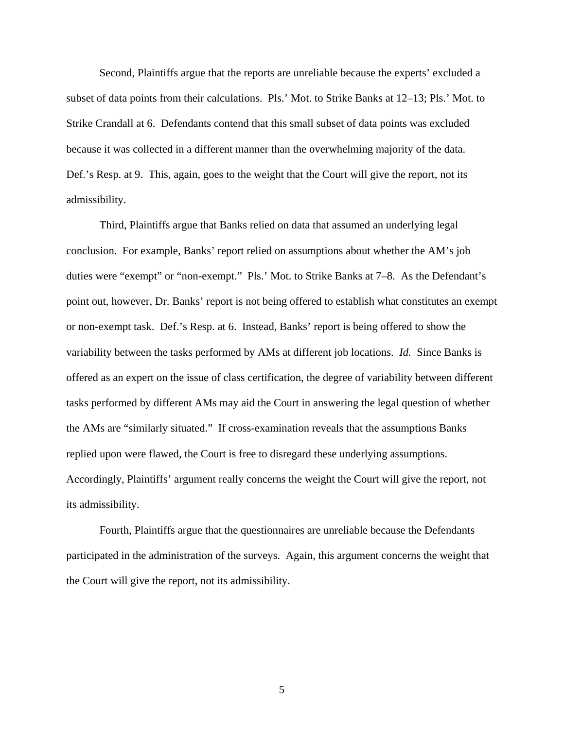Second, Plaintiffs argue that the reports are unreliable because the experts' excluded a subset of data points from their calculations. Pls.' Mot. to Strike Banks at 12–13; Pls.' Mot. to Strike Crandall at 6. Defendants contend that this small subset of data points was excluded because it was collected in a different manner than the overwhelming majority of the data. Def.'s Resp. at 9. This, again, goes to the weight that the Court will give the report, not its admissibility.

Third, Plaintiffs argue that Banks relied on data that assumed an underlying legal conclusion. For example, Banks' report relied on assumptions about whether the AM's job duties were "exempt" or "non-exempt." Pls.' Mot. to Strike Banks at 7–8. As the Defendant's point out, however, Dr. Banks' report is not being offered to establish what constitutes an exempt or non-exempt task. Def.'s Resp. at 6. Instead, Banks' report is being offered to show the variability between the tasks performed by AMs at different job locations. *Id.* Since Banks is offered as an expert on the issue of class certification, the degree of variability between different tasks performed by different AMs may aid the Court in answering the legal question of whether the AMs are "similarly situated." If cross-examination reveals that the assumptions Banks replied upon were flawed, the Court is free to disregard these underlying assumptions. Accordingly, Plaintiffs' argument really concerns the weight the Court will give the report, not its admissibility.

Fourth, Plaintiffs argue that the questionnaires are unreliable because the Defendants participated in the administration of the surveys. Again, this argument concerns the weight that the Court will give the report, not its admissibility.

5